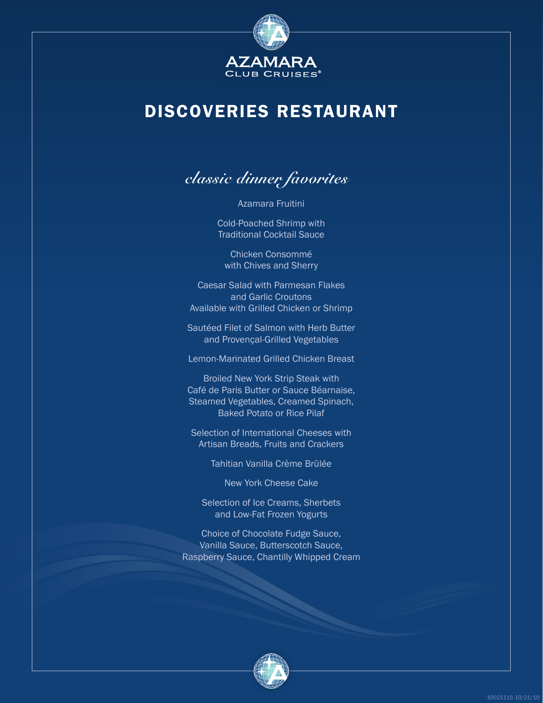

# DISCOVERIES RESTAURANT

**classic dinner favorites**

Azamara Fruitini

Cold-Poached Shrimp with Traditional Cocktail Sauce

Chicken Consommé with Chives and Sherry

Caesar Salad with Parmesan Flakes and Garlic Croutons Available with Grilled Chicken or Shrimp

Sautéed Filet of Salmon with Herb Butter and Provençal-Grilled Vegetables

Lemon-Marinated Grilled Chicken Breast

Broiled New York Strip Steak with Café de Paris Butter or Sauce Béarnaise, Steamed Vegetables, Creamed Spinach, Baked Potato or Rice Pilaf

Selection of International Cheeses with Artisan Breads, Fruits and Crackers

Tahitian Vanilla Crème Brûlée

New York Cheese Cake

Selection of Ice Creams, Sherbets and Low-Fat Frozen Yogurts

Choice of Chocolate Fudge Sauce, Vanilla Sauce, Butterscotch Sauce, Raspberry Sauce, Chantilly Whipped Cream

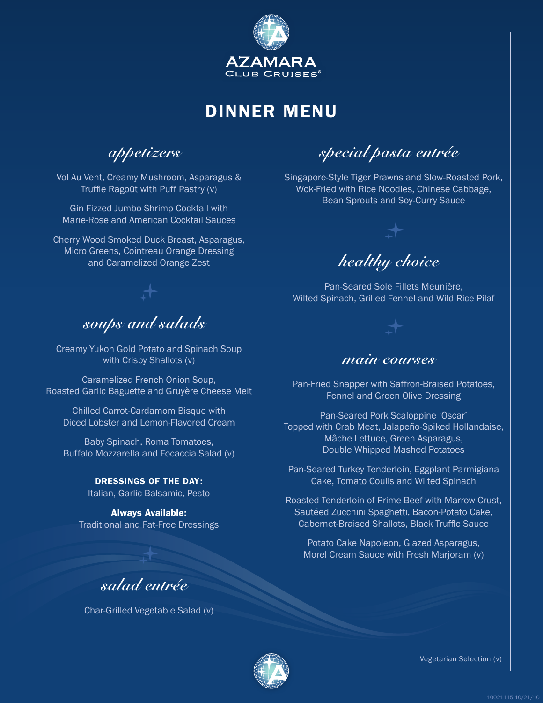

**appetizers**

Vol Au Vent, Creamy Mushroom, Asparagus & Truffle Ragoût with Puff Pastry (v)

Gin-Fizzed Jumbo Shrimp Cocktail with Marie-Rose and American Cocktail Sauces

Cherry Wood Smoked Duck Breast, Asparagus, Micro Greens, Cointreau Orange Dressing and Caramelized Orange Zest

### **soups and salads**

Creamy Yukon Gold Potato and Spinach Soup with Crispy Shallots (v)

Caramelized French Onion Soup, Roasted Garlic Baguette and Gruyère Cheese Melt

Chilled Carrot-Cardamom Bisque with Diced Lobster and Lemon-Flavored Cream

Baby Spinach, Roma Tomatoes, Buffalo Mozzarella and Focaccia Salad (v)

#### DRESSINGS OF THE DAY:

Italian, Garlic-Balsamic, Pesto

Always Available: Traditional and Fat-Free Dressings

**special pasta entrée**

Singapore-Style Tiger Prawns and Slow-Roasted Pork, Wok-Fried with Rice Noodles, Chinese Cabbage, Bean Sprouts and Soy-Curry Sauce



Pan-Seared Sole Fillets Meunière, Wilted Spinach, Grilled Fennel and Wild Rice Pilaf

### **main courses**

Pan-Fried Snapper with Saffron-Braised Potatoes, Fennel and Green Olive Dressing

Pan-Seared Pork Scaloppine 'Oscar' Topped with Crab Meat, Jalapeño-Spiked Hollandaise, Mâche Lettuce, Green Asparagus, Double Whipped Mashed Potatoes

Pan-Seared Turkey Tenderloin, Eggplant Parmigiana Cake, Tomato Coulis and Wilted Spinach

Roasted Tenderloin of Prime Beef with Marrow Crust, Sautéed Zucchini Spaghetti, Bacon-Potato Cake, Cabernet-Braised Shallots, Black Truffle Sauce

Potato Cake Napoleon, Glazed Asparagus, Morel Cream Sauce with Fresh Marjoram (v)



Char-Grilled Vegetable Salad (v)

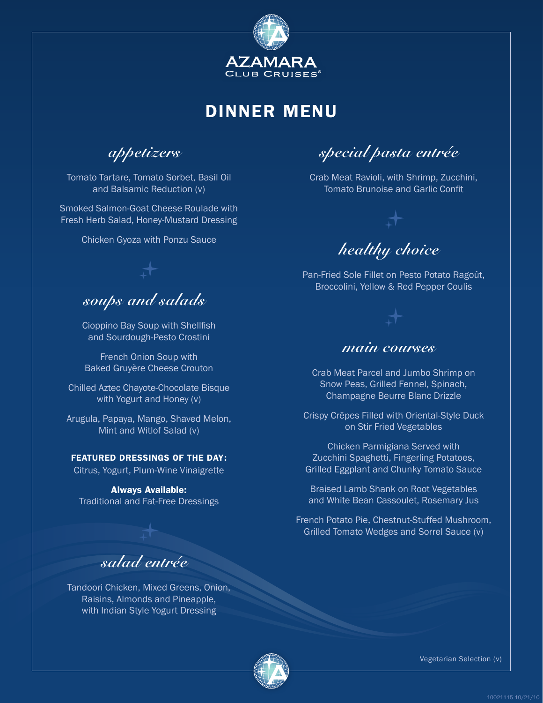

**appetizers**

Tomato Tartare, Tomato Sorbet, Basil Oil and Balsamic Reduction (v)

Smoked Salmon-Goat Cheese Roulade with Fresh Herb Salad, Honey-Mustard Dressing

Chicken Gyoza with Ponzu Sauce

**soups and salads**

Cioppino Bay Soup with Shellfish and Sourdough-Pesto Crostini

French Onion Soup with Baked Gruyère Cheese Crouton

Chilled Aztec Chayote-Chocolate Bisque with Yogurt and Honey (v)

Arugula, Papaya, Mango, Shaved Melon, Mint and Witlof Salad (v)

#### FEATURED DRESSINGS OF THE DAY:

Citrus, Yogurt, Plum-Wine Vinaigrette

Always Available: Traditional and Fat-Free Dressings

**special pasta entrée**

Crab Meat Ravioli, with Shrimp, Zucchini, Tomato Brunoise and Garlic Confit



Pan-Fried Sole Fillet on Pesto Potato Ragoût, Broccolini, Yellow & Red Pepper Coulis

### **main courses**

Crab Meat Parcel and Jumbo Shrimp on Snow Peas, Grilled Fennel, Spinach, Champagne Beurre Blanc Drizzle

Crispy Crêpes Filled with Oriental-Style Duck on Stir Fried Vegetables

Chicken Parmigiana Served with Zucchini Spaghetti, Fingerling Potatoes, Grilled Eggplant and Chunky Tomato Sauce

Braised Lamb Shank on Root Vegetables and White Bean Cassoulet, Rosemary Jus

French Potato Pie, Chestnut-Stuffed Mushroom, Grilled Tomato Wedges and Sorrel Sauce (v)

### **salad entrée**

Tandoori Chicken, Mixed Greens, Onion, Raisins, Almonds and Pineapple, with Indian Style Yogurt Dressing

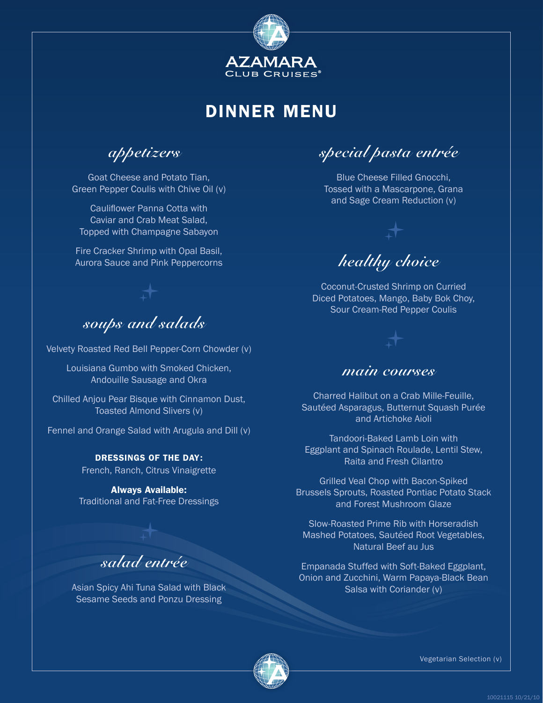

**appetizers**

Goat Cheese and Potato Tian, Green Pepper Coulis with Chive Oil (v)

Cauliflower Panna Cotta with Caviar and Crab Meat Salad, Topped with Champagne Sabayon

Fire Cracker Shrimp with Opal Basil, Aurora Sauce and Pink Peppercorns

**soups and salads**

Velvety Roasted Red Bell Pepper-Corn Chowder (v)

Louisiana Gumbo with Smoked Chicken, Andouille Sausage and Okra

Chilled Anjou Pear Bisque with Cinnamon Dust, Toasted Almond Slivers (v)

Fennel and Orange Salad with Arugula and Dill (v)

DRESSINGS OF THE DAY: French, Ranch, Citrus Vinaigrette

Always Available: Traditional and Fat-Free Dressings

### **salad entrée**

Asian Spicy Ahi Tuna Salad with Black Sesame Seeds and Ponzu Dressing

**special pasta entrée**

Blue Cheese Filled Gnocchi, Tossed with a Mascarpone, Grana and Sage Cream Reduction (v)



Coconut-Crusted Shrimp on Curried Diced Potatoes, Mango, Baby Bok Choy, Sour Cream-Red Pepper Coulis

### **main courses**

Charred Halibut on a Crab Mille-Feuille, Sautéed Asparagus, Butternut Squash Purée and Artichoke Aioli

Tandoori-Baked Lamb Loin with Eggplant and Spinach Roulade, Lentil Stew, Raita and Fresh Cilantro

Grilled Veal Chop with Bacon-Spiked Brussels Sprouts, Roasted Pontiac Potato Stack and Forest Mushroom Glaze

Slow-Roasted Prime Rib with Horseradish Mashed Potatoes, Sautéed Root Vegetables, Natural Beef au Jus

Empanada Stuffed with Soft-Baked Eggplant, Onion and Zucchini, Warm Papaya-Black Bean Salsa with Coriander (v)

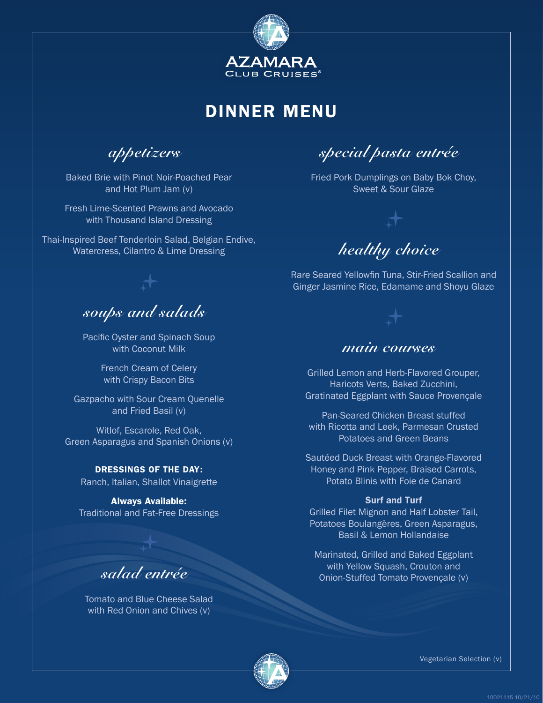

**appetizers**

Baked Brie with Pinot Noir-Poached Pear and Hot Plum Jam (v)

Fresh Lime-Scented Prawns and Avocado with Thousand Island Dressing

Thai-Inspired Beef Tenderloin Salad, Belgian Endive, Watercress, Cilantro & Lime Dressing

**soups and salads**

Pacific Oyster and Spinach Soup with Coconut Milk

> French Cream of Celery with Crispy Bacon Bits

Gazpacho with Sour Cream Quenelle and Fried Basil (v)

Witlof, Escarole, Red Oak, Green Asparagus and Spanish Onions (v)

DRESSINGS OF THE DAY: Ranch, Italian, Shallot Vinaigrette

Always Available: Traditional and Fat-Free Dressings

### **salad entrée**

Tomato and Blue Cheese Salad with Red Onion and Chives (v)

**special pasta entrée**

Fried Pork Dumplings on Baby Bok Choy, Sweet & Sour Glaze

**healthy choice**

Rare Seared Yellowfin Tuna, Stir-Fried Scallion and Ginger Jasmine Rice, Edamame and Shoyu Glaze

### **main courses**

Grilled Lemon and Herb-Flavored Grouper, Haricots Verts, Baked Zucchini, Gratinated Eggplant with Sauce Provençale

Pan-Seared Chicken Breast stuffed with Ricotta and Leek, Parmesan Crusted Potatoes and Green Beans

Sautéed Duck Breast with Orange-Flavored Honey and Pink Pepper, Braised Carrots, Potato Blinis with Foie de Canard

#### Surf and Turf

Grilled Filet Mignon and Half Lobster Tail, Potatoes Boulangères, Green Asparagus, Basil & Lemon Hollandaise

Marinated, Grilled and Baked Eggplant with Yellow Squash, Crouton and Onion-Stuffed Tomato Provençale (v)

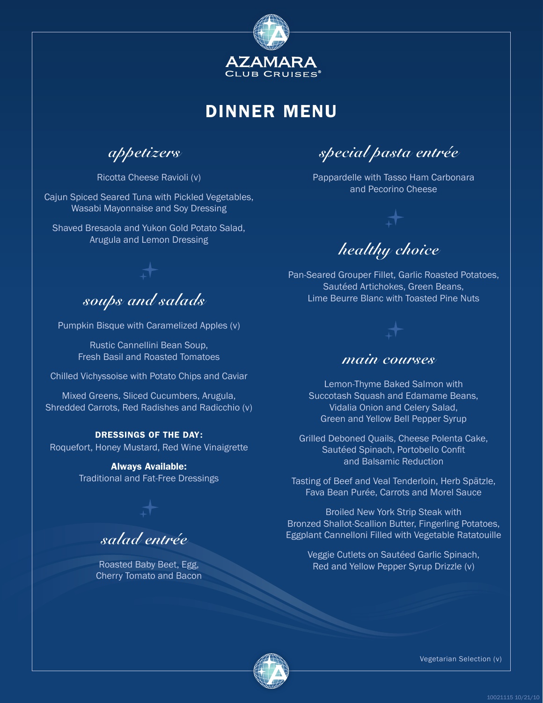

**appetizers**

Ricotta Cheese Ravioli (v)

Cajun Spiced Seared Tuna with Pickled Vegetables, Wasabi Mayonnaise and Soy Dressing

Shaved Bresaola and Yukon Gold Potato Salad, Arugula and Lemon Dressing

**special pasta entrée**

Pappardelle with Tasso Ham Carbonara and Pecorino Cheese

**healthy choice**

Pan-Seared Grouper Fillet, Garlic Roasted Potatoes, Sautéed Artichokes, Green Beans, Lime Beurre Blanc with Toasted Pine Nuts

### **soups and salads**

Pumpkin Bisque with Caramelized Apples (v)

Rustic Cannellini Bean Soup, Fresh Basil and Roasted Tomatoes

Chilled Vichyssoise with Potato Chips and Caviar

Mixed Greens, Sliced Cucumbers, Arugula, Shredded Carrots, Red Radishes and Radicchio (v)

#### DRESSINGS OF THE DAY:

Roquefort, Honey Mustard, Red Wine Vinaigrette

Always Available: Traditional and Fat-Free Dressings

**salad entrée**

Roasted Baby Beet, Egg, Cherry Tomato and Bacon

### **main courses**

Lemon-Thyme Baked Salmon with Succotash Squash and Edamame Beans, Vidalia Onion and Celery Salad, Green and Yellow Bell Pepper Syrup

Grilled Deboned Quails, Cheese Polenta Cake, Sautéed Spinach, Portobello Confit and Balsamic Reduction

Tasting of Beef and Veal Tenderloin, Herb Spätzle, Fava Bean Purée, Carrots and Morel Sauce

Broiled New York Strip Steak with Bronzed Shallot-Scallion Butter, Fingerling Potatoes, Eggplant Cannelloni Filled with Vegetable Ratatouille

Veggie Cutlets on Sautéed Garlic Spinach, Red and Yellow Pepper Syrup Drizzle (v)

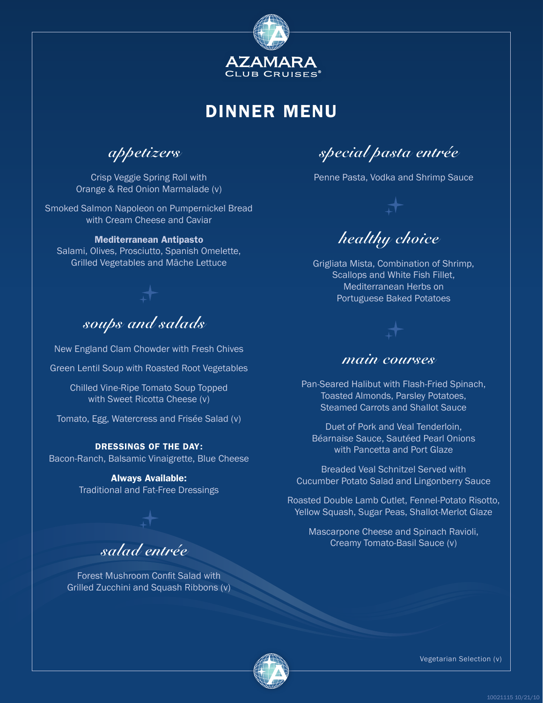

**appetizers**

Crisp Veggie Spring Roll with Orange & Red Onion Marmalade (v)

Smoked Salmon Napoleon on Pumpernickel Bread with Cream Cheese and Caviar

#### Mediterranean Antipasto

Salami, Olives, Prosciutto, Spanish Omelette, Grilled Vegetables and Mâche Lettuce

**soups and salads**

New England Clam Chowder with Fresh Chives

Green Lentil Soup with Roasted Root Vegetables

Chilled Vine-Ripe Tomato Soup Topped with Sweet Ricotta Cheese (v)

Tomato, Egg, Watercress and Frisée Salad (v)

#### DRESSINGS OF THE DAY:

Bacon-Ranch, Balsamic Vinaigrette, Blue Cheese

Always Available: Traditional and Fat-Free Dressings

**salad entrée**

Forest Mushroom Confit Salad with Grilled Zucchini and Squash Ribbons (v)

**special pasta entrée**

Penne Pasta, Vodka and Shrimp Sauce



Grigliata Mista, Combination of Shrimp, Scallops and White Fish Fillet, Mediterranean Herbs on Portuguese Baked Potatoes

### **main courses**

Pan-Seared Halibut with Flash-Fried Spinach, Toasted Almonds, Parsley Potatoes, Steamed Carrots and Shallot Sauce

Duet of Pork and Veal Tenderloin, Béarnaise Sauce, Sautéed Pearl Onions with Pancetta and Port Glaze

Breaded Veal Schnitzel Served with Cucumber Potato Salad and Lingonberry Sauce

Roasted Double Lamb Cutlet, Fennel-Potato Risotto, Yellow Squash, Sugar Peas, Shallot-Merlot Glaze

Mascarpone Cheese and Spinach Ravioli, Creamy Tomato-Basil Sauce (v)

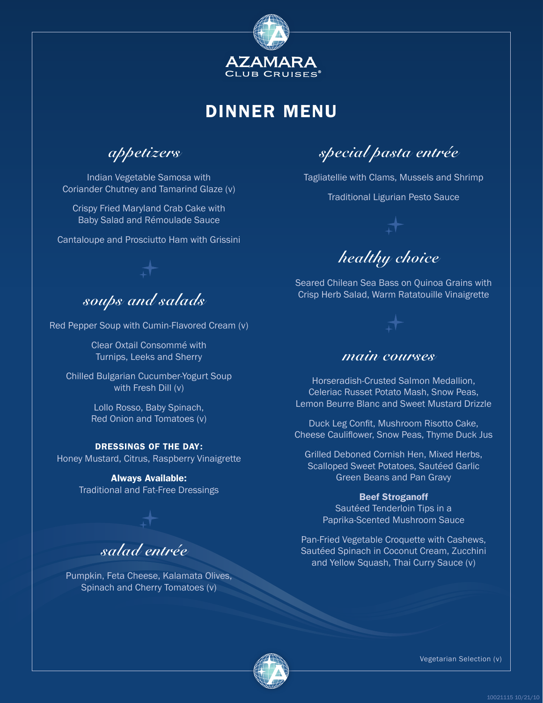

**appetizers**

Indian Vegetable Samosa with Coriander Chutney and Tamarind Glaze (v)

Crispy Fried Maryland Crab Cake with Baby Salad and Rémoulade Sauce

Cantaloupe and Prosciutto Ham with Grissini

**special pasta entrée**

Tagliatellie with Clams, Mussels and Shrimp

Traditional Ligurian Pesto Sauce



Seared Chilean Sea Bass on Quinoa Grains with Crisp Herb Salad, Warm Ratatouille Vinaigrette



Red Pepper Soup with Cumin-Flavored Cream (v)

Clear Oxtail Consommé with Turnips, Leeks and Sherry

Chilled Bulgarian Cucumber-Yogurt Soup with Fresh Dill (v)

> Lollo Rosso, Baby Spinach, Red Onion and Tomatoes (v)

#### DRESSINGS OF THE DAY:

Honey Mustard, Citrus, Raspberry Vinaigrette

Always Available: Traditional and Fat-Free Dressings

**salad entrée**

Pumpkin, Feta Cheese, Kalamata Olives, Spinach and Cherry Tomatoes (v)

### **main courses**

Horseradish-Crusted Salmon Medallion, Celeriac Russet Potato Mash, Snow Peas, Lemon Beurre Blanc and Sweet Mustard Drizzle

Duck Leg Confit, Mushroom Risotto Cake, Cheese Cauliflower, Snow Peas, Thyme Duck Jus

Grilled Deboned Cornish Hen, Mixed Herbs, Scalloped Sweet Potatoes, Sautéed Garlic Green Beans and Pan Gravy

#### Beef Stroganoff

Sautéed Tenderloin Tips in a Paprika-Scented Mushroom Sauce

Pan-Fried Vegetable Croquette with Cashews, Sautéed Spinach in Coconut Cream, Zucchini and Yellow Squash, Thai Curry Sauce (v)

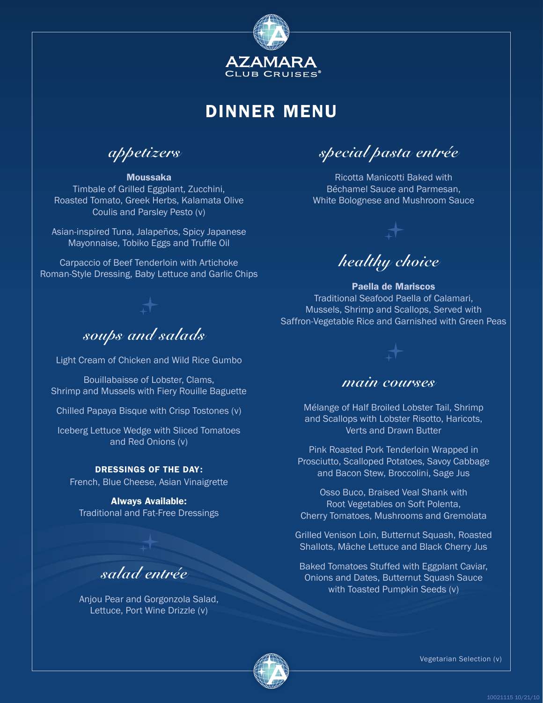

**appetizers**

#### Moussaka

Timbale of Grilled Eggplant, Zucchini, Roasted Tomato, Greek Herbs, Kalamata Olive Coulis and Parsley Pesto (v)

Asian-inspired Tuna, Jalapeños, Spicy Japanese Mayonnaise, Tobiko Eggs and Truffle Oil

Carpaccio of Beef Tenderloin with Artichoke Roman-Style Dressing, Baby Lettuce and Garlic Chips

### **soups and salads**

Light Cream of Chicken and Wild Rice Gumbo

Bouillabaisse of Lobster, Clams, Shrimp and Mussels with Fiery Rouille Baguette

Chilled Papaya Bisque with Crisp Tostones (v)

Iceberg Lettuce Wedge with Sliced Tomatoes and Red Onions (v)

#### DRESSINGS OF THE DAY:

French, Blue Cheese, Asian Vinaigrette

Always Available: Traditional and Fat-Free Dressings

### **salad entrée**

Anjou Pear and Gorgonzola Salad, Lettuce, Port Wine Drizzle (v)

**special pasta entrée**

Ricotta Manicotti Baked with Béchamel Sauce and Parmesan, White Bolognese and Mushroom Sauce





#### Paella de Mariscos Traditional Seafood Paella of Calamari, Mussels, Shrimp and Scallops, Served with Saffron-Vegetable Rice and Garnished with Green Peas

### **main courses**

Mélange of Half Broiled Lobster Tail, Shrimp and Scallops with Lobster Risotto, Haricots, Verts and Drawn Butter

Pink Roasted Pork Tenderloin Wrapped in Prosciutto, Scalloped Potatoes, Savoy Cabbage and Bacon Stew, Broccolini, Sage Jus

Osso Buco, Braised Veal Shank with Root Vegetables on Soft Polenta, Cherry Tomatoes, Mushrooms and Gremolata

Grilled Venison Loin, Butternut Squash, Roasted Shallots, Mâche Lettuce and Black Cherry Jus

Baked Tomatoes Stuffed with Eggplant Caviar, Onions and Dates, Butternut Squash Sauce with Toasted Pumpkin Seeds (v)

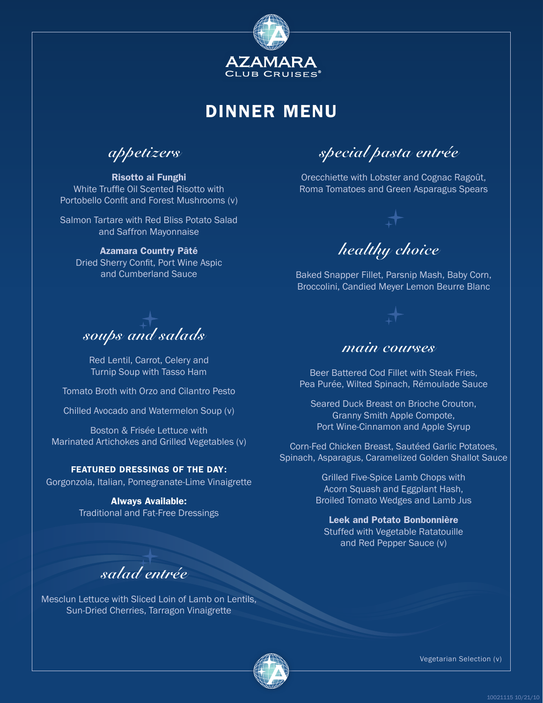

**appetizers**

Risotto ai Funghi White Truffle Oil Scented Risotto with Portobello Confit and Forest Mushrooms (v)

Salmon Tartare with Red Bliss Potato Salad and Saffron Mayonnaise

#### Azamara Country Pâté

Dried Sherry Confit, Port Wine Aspic and Cumberland Sauce

**soups and salads**

Red Lentil, Carrot, Celery and Turnip Soup with Tasso Ham

Tomato Broth with Orzo and Cilantro Pesto

Chilled Avocado and Watermelon Soup (v)

Boston & Frisée Lettuce with Marinated Artichokes and Grilled Vegetables (v)

#### FEATURED DRESSINGS OF THE DAY:

Gorgonzola, Italian, Pomegranate-Lime Vinaigrette

Always Available: Traditional and Fat-Free Dressings

**special pasta entrée**

Orecchiette with Lobster and Cognac Ragoût, Roma Tomatoes and Green Asparagus Spears



Baked Snapper Fillet, Parsnip Mash, Baby Corn, Broccolini, Candied Meyer Lemon Beurre Blanc

### **main courses**

Beer Battered Cod Fillet with Steak Fries, Pea Purée, Wilted Spinach, Rémoulade Sauce

Seared Duck Breast on Brioche Crouton, Granny Smith Apple Compote, Port Wine-Cinnamon and Apple Syrup

Corn-Fed Chicken Breast, Sautéed Garlic Potatoes, Spinach, Asparagus, Caramelized Golden Shallot Sauce

> Grilled Five-Spice Lamb Chops with Acorn Squash and Eggplant Hash, Broiled Tomato Wedges and Lamb Jus

Leek and Potato Bonbonnière Stuffed with Vegetable Ratatouille and Red Pepper Sauce (v)

**salad entrée**

Mesclun Lettuce with Sliced Loin of Lamb on Lentils, Sun-Dried Cherries, Tarragon Vinaigrette

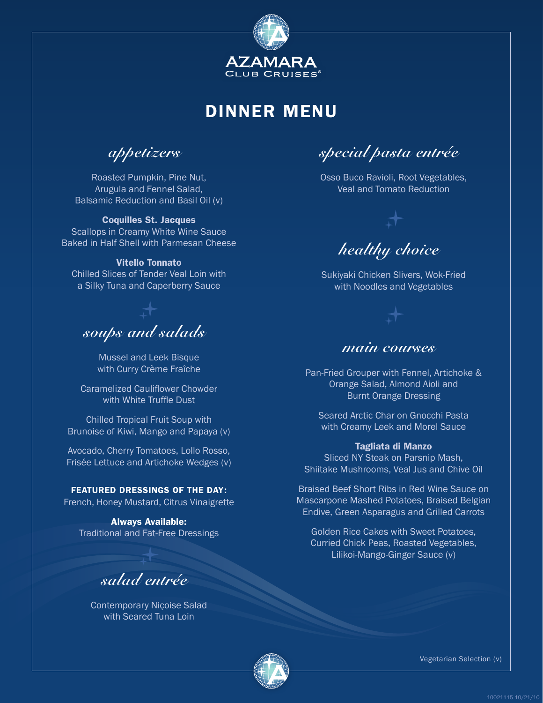

**appetizers**

Roasted Pumpkin, Pine Nut, Arugula and Fennel Salad, Balsamic Reduction and Basil Oil (v)

#### Coquilles St. Jacques

Scallops in Creamy White Wine Sauce Baked in Half Shell with Parmesan Cheese

#### Vitello Tonnato

Chilled Slices of Tender Veal Loin with a Silky Tuna and Caperberry Sauce

# **soups and salads**

Mussel and Leek Bisque with Curry Crème Fraîche

Caramelized Cauliflower Chowder with White Truffle Dust

Chilled Tropical Fruit Soup with Brunoise of Kiwi, Mango and Papaya (v)

Avocado, Cherry Tomatoes, Lollo Rosso, Frisée Lettuce and Artichoke Wedges (v)

FEATURED DRESSINGS OF THE DAY: French, Honey Mustard, Citrus Vinaigrette

Always Available: Traditional and Fat-Free Dressings

### **salad entrée**

Contemporary Niçoise Salad with Seared Tuna Loin

**special pasta entrée**

Osso Buco Ravioli, Root Vegetables, Veal and Tomato Reduction



Sukiyaki Chicken Slivers, Wok-Fried with Noodles and Vegetables

### **main courses**

Pan-Fried Grouper with Fennel, Artichoke & Orange Salad, Almond Aioli and Burnt Orange Dressing

Seared Arctic Char on Gnocchi Pasta with Creamy Leek and Morel Sauce

#### Tagliata di Manzo

Sliced NY Steak on Parsnip Mash, Shiitake Mushrooms, Veal Jus and Chive Oil

Braised Beef Short Ribs in Red Wine Sauce on Mascarpone Mashed Potatoes, Braised Belgian Endive, Green Asparagus and Grilled Carrots

Golden Rice Cakes with Sweet Potatoes, Curried Chick Peas, Roasted Vegetables, Lilikoi-Mango-Ginger Sauce (v)

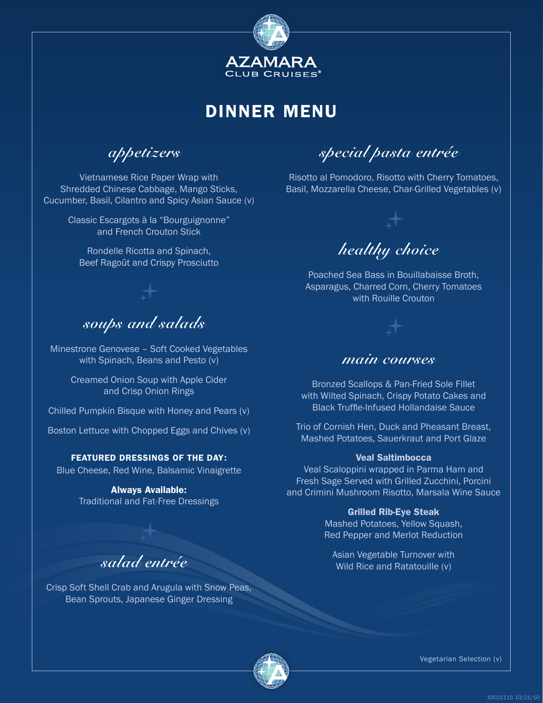

**appetizers**

Vietnamese Rice Paper Wrap with Shredded Chinese Cabbage, Mango Sticks, Cucumber, Basil, Cilantro and Spicy Asian Sauce (v)

> Classic Escargots à la "Bourguignonne" and French Crouton Stick

Rondelle Ricotta and Spinach, Beef Ragoût and Crispy Prosciutto

### **soups and salads**

Minestrone Genovese – Soft Cooked Vegetables with Spinach, Beans and Pesto (v)

> Creamed Onion Soup with Apple Cider and Crisp Onion Rings

Chilled Pumpkin Bisque with Honey and Pears (v)

Boston Lettuce with Chopped Eggs and Chives (v)

#### FEATURED DRESSINGS OF THE DAY:

Blue Cheese, Red Wine, Balsamic Vinaigrette

Always Available: Traditional and Fat-Free Dressings

### **salad entrée**

Crisp Soft Shell Crab and Arugula with Snow Peas, Bean Sprouts, Japanese Ginger Dressing

**special pasta entrée**

Risotto al Pomodoro, Risotto with Cherry Tomatoes, Basil, Mozzarella Cheese, Char-Grilled Vegetables (v)



Poached Sea Bass in Bouillabaisse Broth, Asparagus, Charred Corn, Cherry Tomatoes with Rouille Crouton



### **main courses**

Bronzed Scallops & Pan-Fried Sole Fillet with Wilted Spinach, Crispy Potato Cakes and Black Truffle-Infused Hollandaise Sauce

Trio of Cornish Hen, Duck and Pheasant Breast, Mashed Potatoes, Sauerkraut and Port Glaze

#### Veal Saltimbocca

Veal Scaloppini wrapped in Parma Ham and Fresh Sage Served with Grilled Zucchini, Porcini and Crimini Mushroom Risotto, Marsala Wine Sauce

#### Grilled Rib-Eye Steak

Mashed Potatoes, Yellow Squash, Red Pepper and Merlot Reduction

Asian Vegetable Turnover with Wild Rice and Ratatouille (v)

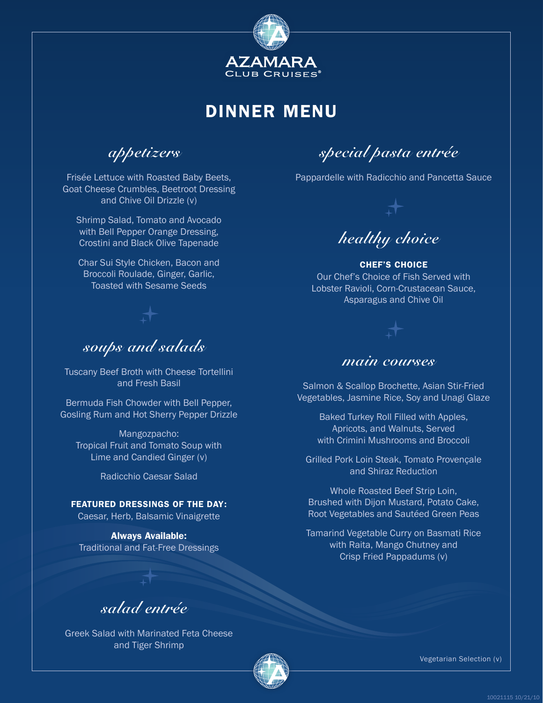

**appetizers**

Frisée Lettuce with Roasted Baby Beets, Goat Cheese Crumbles, Beetroot Dressing and Chive Oil Drizzle (v)

Shrimp Salad, Tomato and Avocado with Bell Pepper Orange Dressing, Crostini and Black Olive Tapenade

Char Sui Style Chicken, Bacon and Broccoli Roulade, Ginger, Garlic, Toasted with Sesame Seeds

**soups and salads**

Tuscany Beef Broth with Cheese Tortellini and Fresh Basil

Bermuda Fish Chowder with Bell Pepper, Gosling Rum and Hot Sherry Pepper Drizzle

Mangozpacho: Tropical Fruit and Tomato Soup with Lime and Candied Ginger (v)

Radicchio Caesar Salad

FEATURED DRESSINGS OF THE DAY:

Caesar, Herb, Balsamic Vinaigrette

Always Available: Traditional and Fat-Free Dressings

**special pasta entrée**

Pappardelle with Radicchio and Pancetta Sauce



CHEF'S CHOICE Our Chef's Choice of Fish Served with Lobster Ravioli, Corn-Crustacean Sauce, Asparagus and Chive Oil

### **main courses**

Salmon & Scallop Brochette, Asian Stir-Fried Vegetables, Jasmine Rice, Soy and Unagi Glaze

> Baked Turkey Roll Filled with Apples, Apricots, and Walnuts, Served with Crimini Mushrooms and Broccoli

Grilled Pork Loin Steak, Tomato Provençale and Shiraz Reduction

Whole Roasted Beef Strip Loin, Brushed with Dijon Mustard, Potato Cake, Root Vegetables and Sautéed Green Peas

Tamarind Vegetable Curry on Basmati Rice with Raita, Mango Chutney and Crisp Fried Pappadums (v)

**salad entrée**

Greek Salad with Marinated Feta Cheese and Tiger Shrimp

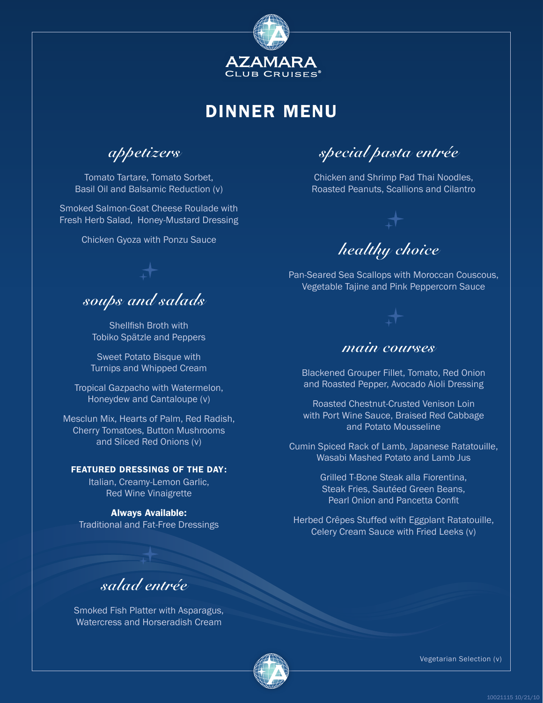

**appetizers**

Tomato Tartare, Tomato Sorbet, Basil Oil and Balsamic Reduction (v)

Smoked Salmon-Goat Cheese Roulade with Fresh Herb Salad, Honey-Mustard Dressing

Chicken Gyoza with Ponzu Sauce

**soups and salads**

Shellfish Broth with Tobiko Spätzle and Peppers

Sweet Potato Bisque with Turnips and Whipped Cream

Tropical Gazpacho with Watermelon, Honeydew and Cantaloupe (v)

Mesclun Mix, Hearts of Palm, Red Radish, Cherry Tomatoes, Button Mushrooms and Sliced Red Onions (v)

#### FEATURED DRESSINGS OF THE DAY:

Italian, Creamy-Lemon Garlic, Red Wine Vinaigrette

Always Available: Traditional and Fat-Free Dressings

**special pasta entrée**

Chicken and Shrimp Pad Thai Noodles, Roasted Peanuts, Scallions and Cilantro



Pan-Seared Sea Scallops with Moroccan Couscous, Vegetable Tajine and Pink Peppercorn Sauce



### **main courses**

Blackened Grouper Fillet, Tomato, Red Onion and Roasted Pepper, Avocado Aioli Dressing

Roasted Chestnut-Crusted Venison Loin with Port Wine Sauce, Braised Red Cabbage and Potato Mousseline

Cumin Spiced Rack of Lamb, Japanese Ratatouille, Wasabi Mashed Potato and Lamb Jus

> Grilled T-Bone Steak alla Fiorentina, Steak Fries, Sautéed Green Beans, Pearl Onion and Pancetta Confit

Herbed Crêpes Stuffed with Eggplant Ratatouille, Celery Cream Sauce with Fried Leeks (v)

**salad entrée**

Smoked Fish Platter with Asparagus, Watercress and Horseradish Cream